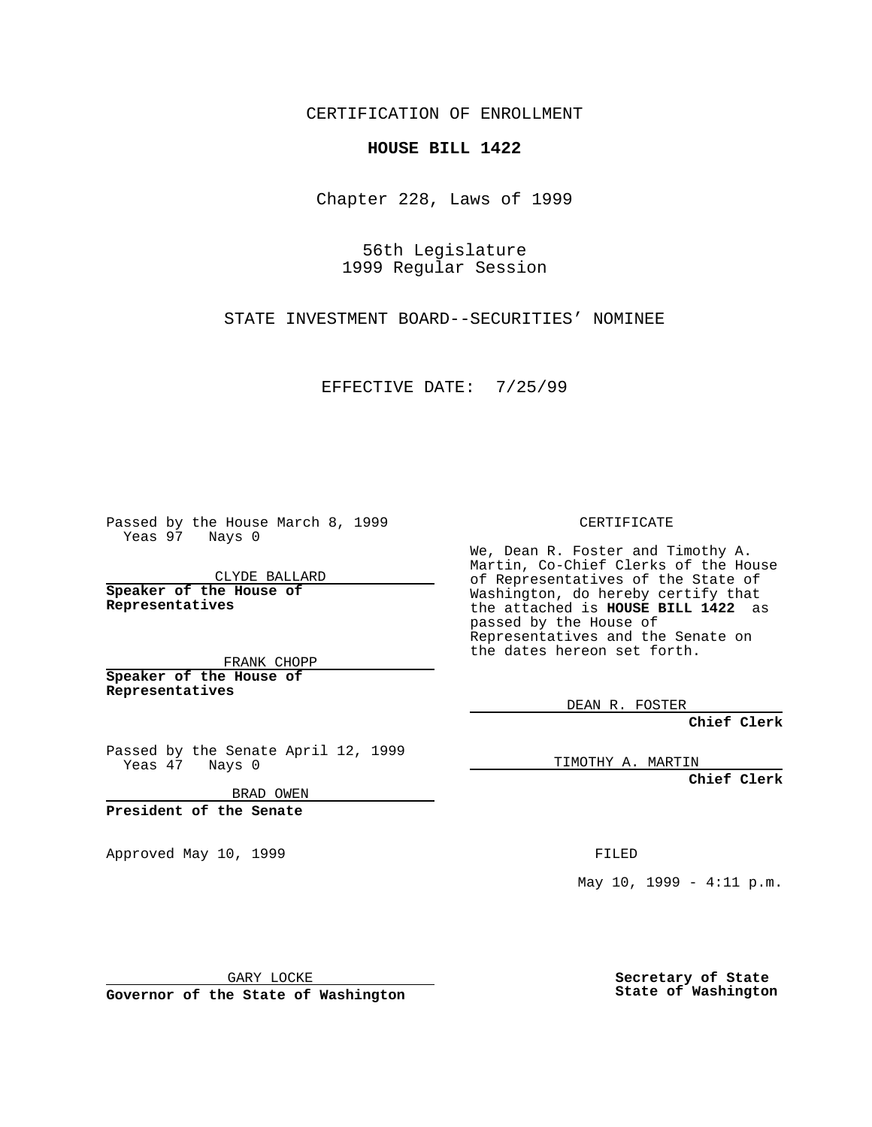CERTIFICATION OF ENROLLMENT

## **HOUSE BILL 1422**

Chapter 228, Laws of 1999

56th Legislature 1999 Regular Session

STATE INVESTMENT BOARD--SECURITIES' NOMINEE

EFFECTIVE DATE: 7/25/99

Passed by the House March 8, 1999 Yeas 97 Nays 0

CLYDE BALLARD **Speaker of the House of Representatives**

FRANK CHOPP **Speaker of the House of Representatives**

Passed by the Senate April 12, 1999 Yeas 47 Nays 0

BRAD OWEN

**President of the Senate**

Approved May 10, 1999 **FILED** 

CERTIFICATE

We, Dean R. Foster and Timothy A. Martin, Co-Chief Clerks of the House of Representatives of the State of Washington, do hereby certify that the attached is **HOUSE BILL 1422** as passed by the House of Representatives and the Senate on the dates hereon set forth.

DEAN R. FOSTER

**Chief Clerk**

TIMOTHY A. MARTIN

**Chief Clerk**

May  $10$ ,  $1999 - 4:11$  p.m.

GARY LOCKE

**Governor of the State of Washington**

**Secretary of State State of Washington**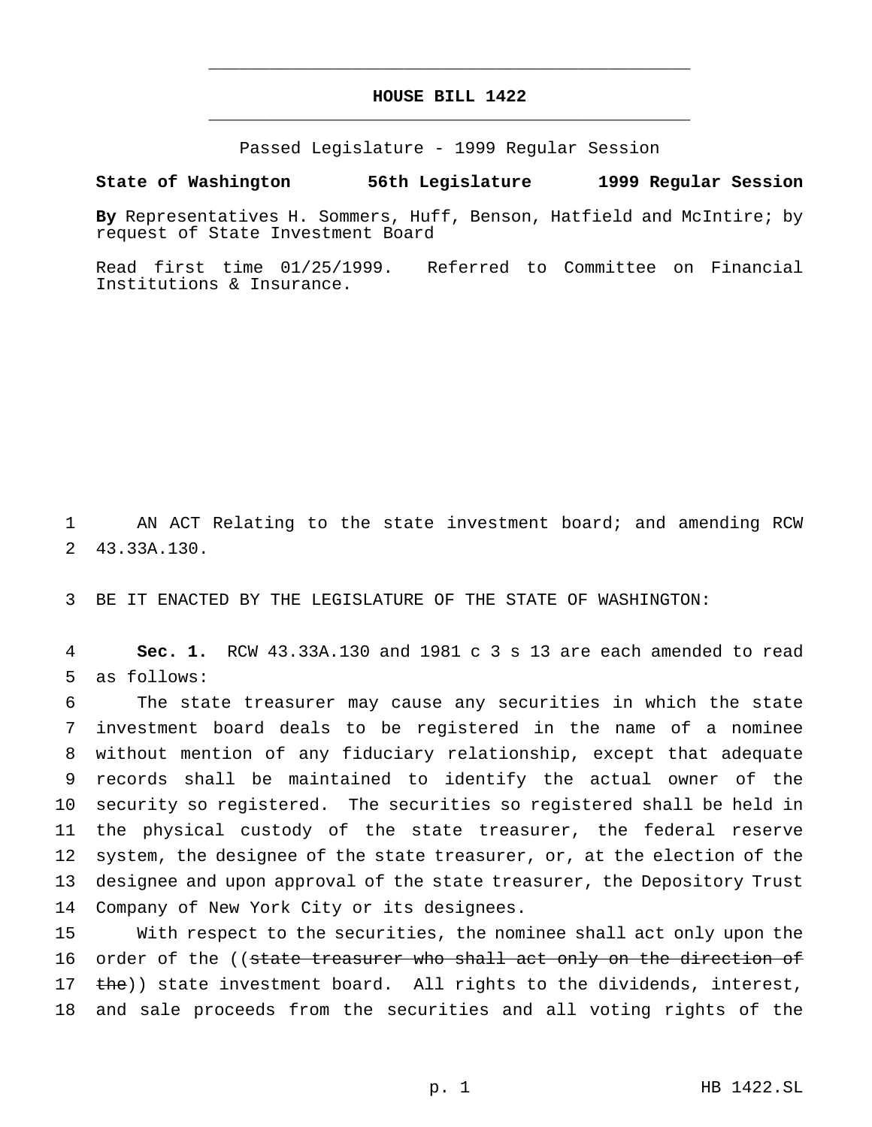## **HOUSE BILL 1422** \_\_\_\_\_\_\_\_\_\_\_\_\_\_\_\_\_\_\_\_\_\_\_\_\_\_\_\_\_\_\_\_\_\_\_\_\_\_\_\_\_\_\_\_\_\_\_

\_\_\_\_\_\_\_\_\_\_\_\_\_\_\_\_\_\_\_\_\_\_\_\_\_\_\_\_\_\_\_\_\_\_\_\_\_\_\_\_\_\_\_\_\_\_\_

Passed Legislature - 1999 Regular Session

## **State of Washington 56th Legislature 1999 Regular Session**

**By** Representatives H. Sommers, Huff, Benson, Hatfield and McIntire; by request of State Investment Board

Read first time 01/25/1999. Referred to Committee on Financial Institutions & Insurance.

1 AN ACT Relating to the state investment board; and amending RCW 2 43.33A.130.

3 BE IT ENACTED BY THE LEGISLATURE OF THE STATE OF WASHINGTON:

4 **Sec. 1.** RCW 43.33A.130 and 1981 c 3 s 13 are each amended to read 5 as follows:

 The state treasurer may cause any securities in which the state investment board deals to be registered in the name of a nominee without mention of any fiduciary relationship, except that adequate records shall be maintained to identify the actual owner of the security so registered. The securities so registered shall be held in the physical custody of the state treasurer, the federal reserve system, the designee of the state treasurer, or, at the election of the designee and upon approval of the state treasurer, the Depository Trust Company of New York City or its designees.

15 With respect to the securities, the nominee shall act only upon the 16 order of the ((state treasurer who shall act only on the direction of 17 the)) state investment board. All rights to the dividends, interest, 18 and sale proceeds from the securities and all voting rights of the